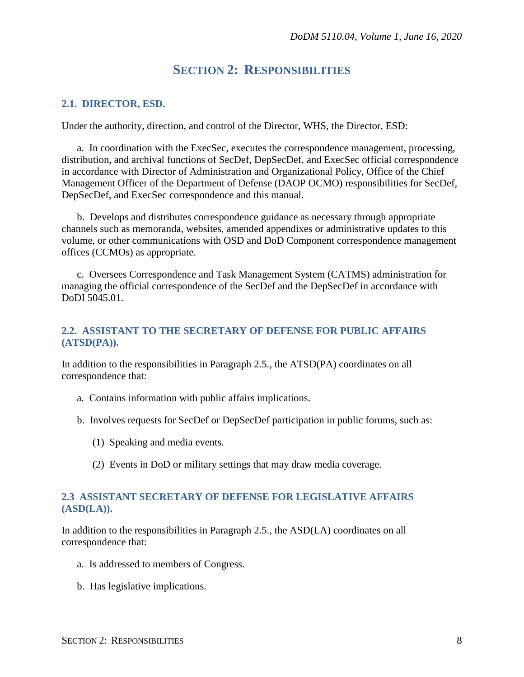# **SECTION 2: RESPONSIBILITIES**

#### **2.1. DIRECTOR, ESD.**

Under the authority, direction, and control of the Director, WHS, the Director, ESD:

a. In coordination with the ExecSec, executes the correspondence management, processing, distribution, and archival functions of SecDef, DepSecDef, and ExecSec official correspondence in accordance with Director of Administration and Organizational Policy, Office of the Chief Management Officer of the Department of Defense (DAOP OCMO) responsibilities for SecDef, DepSecDef, and ExecSec correspondence and this manual.

b. Develops and distributes correspondence guidance as necessary through appropriate channels such as memoranda, websites, amended appendixes or administrative updates to this volume, or other communications with OSD and DoD Component correspondence management offices (CCMOs) as appropriate.

c. Oversees Correspondence and Task Management System (CATMS) administration for managing the official correspondence of the SecDef and the DepSecDef in accordance with DoDI 5045.01.

#### **2.2. ASSISTANT TO THE SECRETARY OF DEFENSE FOR PUBLIC AFFAIRS (ATSD(PA)).**

In addition to the responsibilities in Paragraph 2.5., the ATSD(PA) coordinates on all correspondence that:

- a. Contains information with public affairs implications.
- b. Involves requests for SecDef or DepSecDef participation in public forums, such as:
	- (1) Speaking and media events.
	- (2) Events in DoD or military settings that may draw media coverage.

#### **2.3 ASSISTANT SECRETARY OF DEFENSE FOR LEGISLATIVE AFFAIRS (ASD(LA)).**

In addition to the responsibilities in Paragraph 2.5., the ASD(LA) coordinates on all correspondence that:

- a. Is addressed to members of Congress.
- b. Has legislative implications.